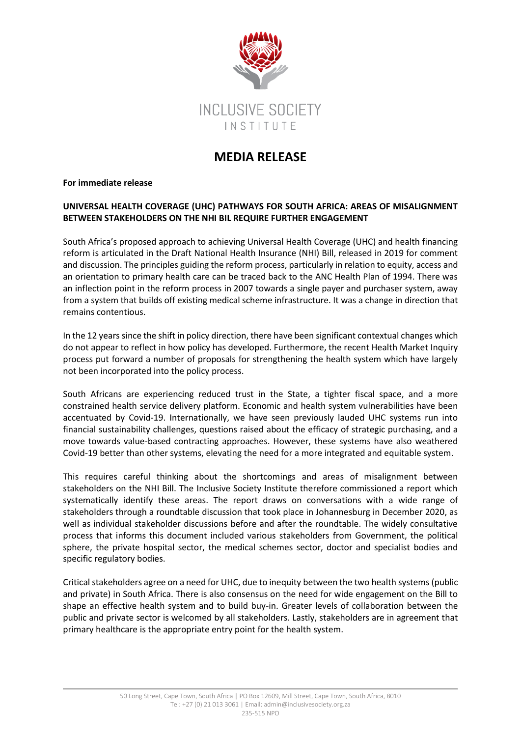

## **MEDIA RELEASE**

**For immediate release**

## **UNIVERSAL HEALTH COVERAGE (UHC) PATHWAYS FOR SOUTH AFRICA: AREAS OF MISALIGNMENT BETWEEN STAKEHOLDERS ON THE NHI BIL REQUIRE FURTHER ENGAGEMENT**

South Africa's proposed approach to achieving Universal Health Coverage (UHC) and health financing reform is articulated in the Draft National Health Insurance (NHI) Bill, released in 2019 for comment and discussion. The principles guiding the reform process, particularly in relation to equity, access and an orientation to primary health care can be traced back to the ANC Health Plan of 1994. There was an inflection point in the reform process in 2007 towards a single payer and purchaser system, away from a system that builds off existing medical scheme infrastructure. It was a change in direction that remains contentious.

In the 12 years since the shift in policy direction, there have been significant contextual changes which do not appear to reflect in how policy has developed. Furthermore, the recent Health Market Inquiry process put forward a number of proposals for strengthening the health system which have largely not been incorporated into the policy process.

South Africans are experiencing reduced trust in the State, a tighter fiscal space, and a more constrained health service delivery platform. Economic and health system vulnerabilities have been accentuated by Covid-19. Internationally, we have seen previously lauded UHC systems run into financial sustainability challenges, questions raised about the efficacy of strategic purchasing, and a move towards value-based contracting approaches. However, these systems have also weathered Covid-19 better than other systems, elevating the need for a more integrated and equitable system.

This requires careful thinking about the shortcomings and areas of misalignment between stakeholders on the NHI Bill. The Inclusive Society Institute therefore commissioned a report which systematically identify these areas. The report draws on conversations with a wide range of stakeholders through a roundtable discussion that took place in Johannesburg in December 2020, as well as individual stakeholder discussions before and after the roundtable. The widely consultative process that informs this document included various stakeholders from Government, the political sphere, the private hospital sector, the medical schemes sector, doctor and specialist bodies and specific regulatory bodies.

Critical stakeholders agree on a need for UHC, due to inequity between the two health systems (public and private) in South Africa. There is also consensus on the need for wide engagement on the Bill to shape an effective health system and to build buy-in. Greater levels of collaboration between the public and private sector is welcomed by all stakeholders. Lastly, stakeholders are in agreement that primary healthcare is the appropriate entry point for the health system.